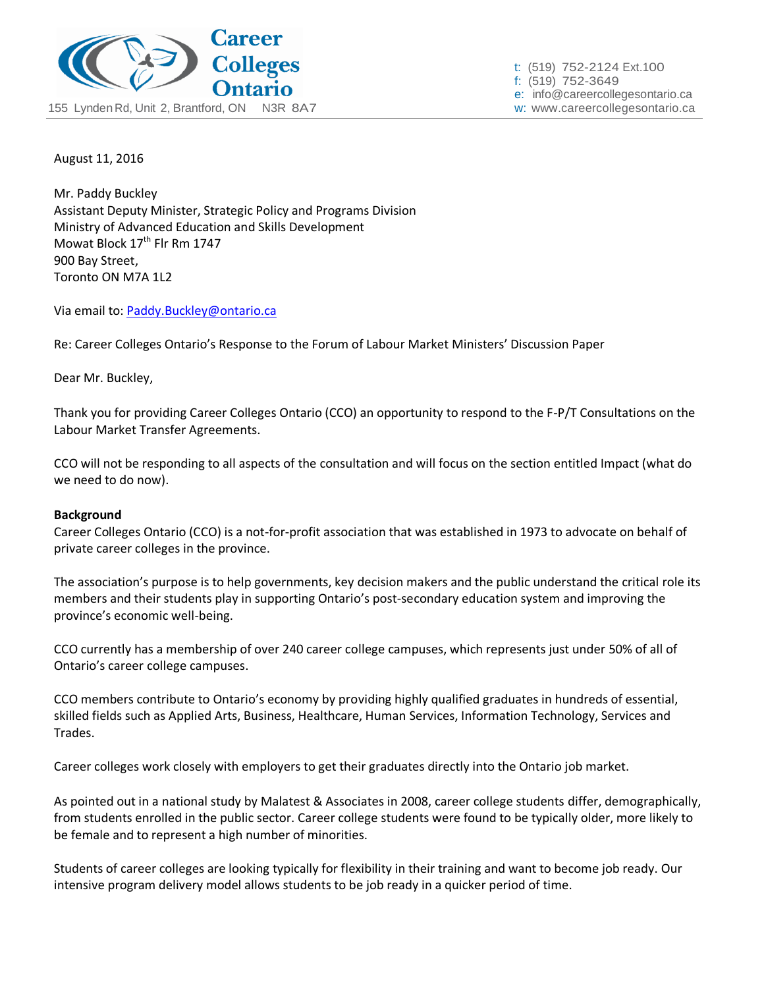

t: (519) 752-2124 Ext.100 f: (519) 752-3649 e: info@careercollegesontario.ca

August 11, 2016

Mr. Paddy Buckley Assistant Deputy Minister, Strategic Policy and Programs Division Ministry of Advanced Education and Skills Development Mowat Block 17<sup>th</sup> Flr Rm 1747 900 Bay Street, Toronto ON M7A 1L2

Via email to[: Paddy.Buckley@ontario.ca](mailto:Paddy.Buckley@ontario.ca)

Re: Career Colleges Ontario's Response to the Forum of Labour Market Ministers' Discussion Paper

Dear Mr. Buckley,

Thank you for providing Career Colleges Ontario (CCO) an opportunity to respond to the F-P/T Consultations on the Labour Market Transfer Agreements.

CCO will not be responding to all aspects of the consultation and will focus on the section entitled Impact (what do we need to do now).

## **Background**

Career Colleges Ontario (CCO) is a not-for-profit association that was established in 1973 to advocate on behalf of private career colleges in the province.

The association's purpose is to help governments, key decision makers and the public understand the critical role its members and their students play in supporting Ontario's post-secondary education system and improving the province's economic well-being.

CCO currently has a membership of over 240 career college campuses, which represents just under 50% of all of Ontario's career college campuses.

CCO members contribute to Ontario's economy by providing highly qualified graduates in hundreds of essential, skilled fields such as Applied Arts, Business, Healthcare, Human Services, Information Technology, Services and Trades.

Career colleges work closely with employers to get their graduates directly into the Ontario job market.

As pointed out in a national study by Malatest & Associates in 2008, career college students differ, demographically, from students enrolled in the public sector. Career college students were found to be typically older, more likely to be female and to represent a high number of minorities.

Students of career colleges are looking typically for flexibility in their training and want to become job ready. Our intensive program delivery model allows students to be job ready in a quicker period of time.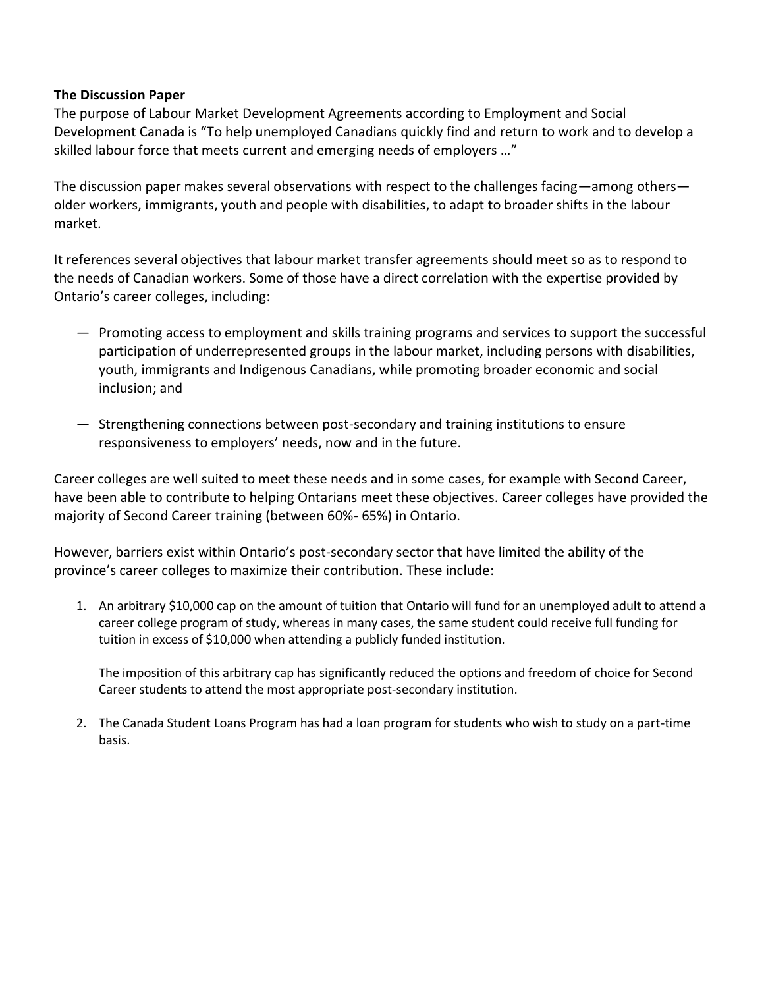## **The Discussion Paper**

The purpose of Labour Market Development Agreements according to Employment and Social Development Canada is "To help unemployed Canadians quickly find and return to work and to develop a skilled labour force that meets current and emerging needs of employers …"

The discussion paper makes several observations with respect to the challenges facing—among others older workers, immigrants, youth and people with disabilities, to adapt to broader shifts in the labour market.

It references several objectives that labour market transfer agreements should meet so as to respond to the needs of Canadian workers. Some of those have a direct correlation with the expertise provided by Ontario's career colleges, including:

- Promoting access to employment and skills training programs and services to support the successful participation of underrepresented groups in the labour market, including persons with disabilities, youth, immigrants and Indigenous Canadians, while promoting broader economic and social inclusion; and
- Strengthening connections between post-secondary and training institutions to ensure responsiveness to employers' needs, now and in the future.

Career colleges are well suited to meet these needs and in some cases, for example with Second Career, have been able to contribute to helping Ontarians meet these objectives. Career colleges have provided the majority of Second Career training (between 60%- 65%) in Ontario.

However, barriers exist within Ontario's post-secondary sector that have limited the ability of the province's career colleges to maximize their contribution. These include:

1. An arbitrary \$10,000 cap on the amount of tuition that Ontario will fund for an unemployed adult to attend a career college program of study, whereas in many cases, the same student could receive full funding for tuition in excess of \$10,000 when attending a publicly funded institution.

The imposition of this arbitrary cap has significantly reduced the options and freedom of choice for Second Career students to attend the most appropriate post-secondary institution.

2. The Canada Student Loans Program has had a loan program for students who wish to study on a part-time basis.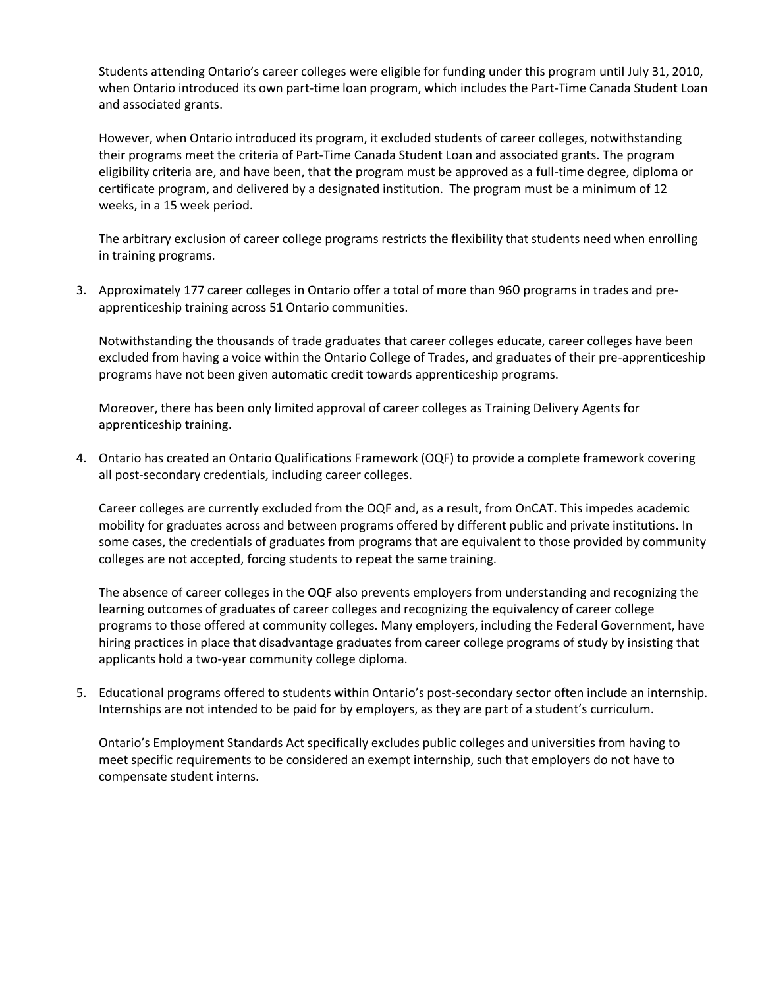Students attending Ontario's career colleges were eligible for funding under this program until July 31, 2010, when Ontario introduced its own part-time loan program, which includes the Part-Time Canada Student Loan and associated grants.

However, when Ontario introduced its program, it excluded students of career colleges, notwithstanding their programs meet the criteria of Part-Time Canada Student Loan and associated grants. The program eligibility criteria are, and have been, that the program must be approved as a full-time degree, diploma or certificate program, and delivered by a designated institution. The program must be a minimum of 12 weeks, in a 15 week period.

The arbitrary exclusion of career college programs restricts the flexibility that students need when enrolling in training programs.

3. Approximately 177 career colleges in Ontario offer a total of more than 960 programs in trades and preapprenticeship training across 51 Ontario communities.

Notwithstanding the thousands of trade graduates that career colleges educate, career colleges have been excluded from having a voice within the Ontario College of Trades, and graduates of their pre-apprenticeship programs have not been given automatic credit towards apprenticeship programs.

Moreover, there has been only limited approval of career colleges as Training Delivery Agents for apprenticeship training.

4. Ontario has created an Ontario Qualifications Framework (OQF) to provide a complete framework covering all post-secondary credentials, including career colleges.

Career colleges are currently excluded from the OQF and, as a result, from OnCAT. This impedes academic mobility for graduates across and between programs offered by different public and private institutions. In some cases, the credentials of graduates from programs that are equivalent to those provided by community colleges are not accepted, forcing students to repeat the same training.

The absence of career colleges in the OQF also prevents employers from understanding and recognizing the learning outcomes of graduates of career colleges and recognizing the equivalency of career college programs to those offered at community colleges. Many employers, including the Federal Government, have hiring practices in place that disadvantage graduates from career college programs of study by insisting that applicants hold a two-year community college diploma.

5. Educational programs offered to students within Ontario's post-secondary sector often include an internship. Internships are not intended to be paid for by employers, as they are part of a student's curriculum.

Ontario's Employment Standards Act specifically excludes public colleges and universities from having to meet specific requirements to be considered an exempt internship, such that employers do not have to compensate student interns.